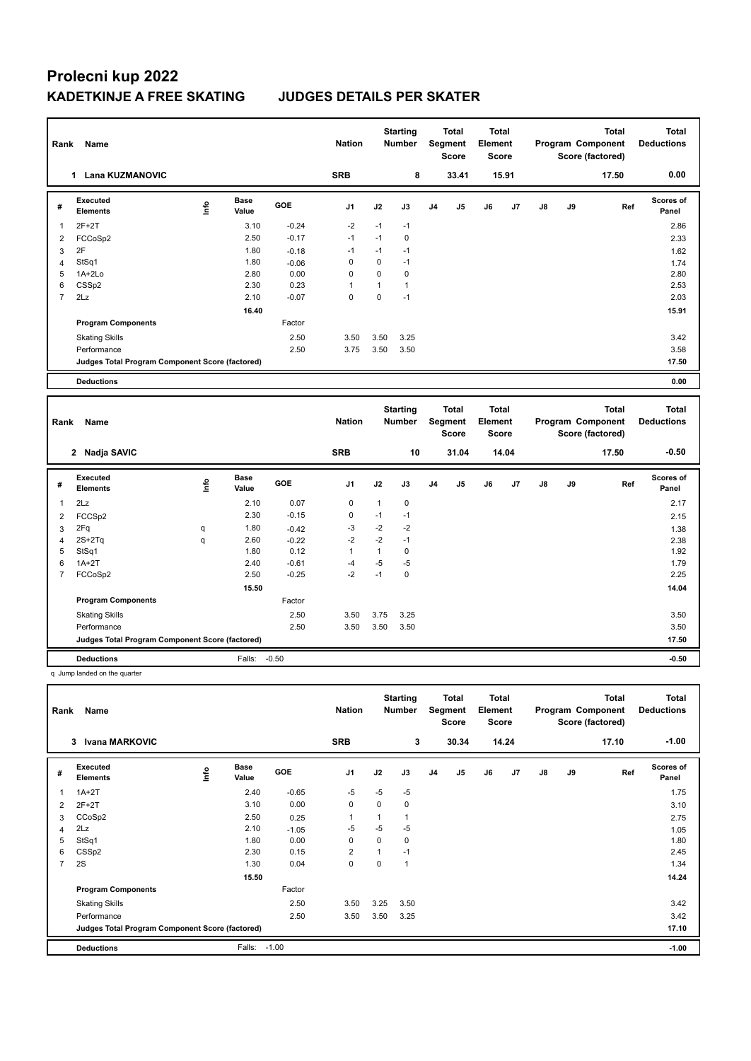| Rank           | Name                                              |      |                      |         | <b>Nation</b> |              | <b>Starting</b><br><b>Number</b> |                | <b>Total</b><br>Segment<br>Score        | <b>Total</b><br>Element<br><b>Score</b> |       |    |    | <b>Total</b><br>Program Component<br>Score (factored) |     | <b>Total</b><br><b>Deductions</b> |
|----------------|---------------------------------------------------|------|----------------------|---------|---------------|--------------|----------------------------------|----------------|-----------------------------------------|-----------------------------------------|-------|----|----|-------------------------------------------------------|-----|-----------------------------------|
|                | 1 Lana KUZMANOVIC                                 |      |                      |         | <b>SRB</b>    |              | 8                                |                | 33.41                                   |                                         | 15.91 |    |    | 17.50                                                 |     | 0.00                              |
| #              | <b>Executed</b><br><b>Elements</b>                | ۴٥   | <b>Base</b><br>Value | GOE     | J1            | J2           | J3                               | J4             | J5                                      | J6                                      | J7    | J8 | J9 |                                                       | Ref | Scores of<br>Panel                |
| $\mathbf{1}$   | $2F+2T$                                           |      | 3.10                 | $-0.24$ | $-2$          | $-1$         | $-1$                             |                |                                         |                                         |       |    |    |                                                       |     | 2.86                              |
| $\overline{2}$ | FCCoSp2                                           |      | 2.50                 | $-0.17$ | $-1$          | $-1$         | $\mathbf 0$                      |                |                                         |                                         |       |    |    |                                                       |     | 2.33                              |
| 3              | 2F                                                |      | 1.80                 | $-0.18$ | $-1$          | $-1$         | $-1$                             |                |                                         |                                         |       |    |    |                                                       |     | 1.62                              |
| $\overline{4}$ | StSq1                                             |      | 1.80                 | $-0.06$ | $\mathbf 0$   | $\mathbf 0$  | $-1$                             |                |                                         |                                         |       |    |    |                                                       |     | 1.74                              |
| 5              | $1A+2Lo$                                          |      | 2.80                 | 0.00    | 0             | $\mathbf 0$  | $\mathbf 0$                      |                |                                         |                                         |       |    |    |                                                       |     | 2.80                              |
| 6              | CSSp2                                             |      | 2.30                 | 0.23    | 1             | $\mathbf{1}$ | $\mathbf{1}$                     |                |                                         |                                         |       |    |    |                                                       |     | 2.53                              |
| $\overline{7}$ | 2Lz                                               |      | 2.10                 | $-0.07$ | 0             | $\mathbf 0$  | $-1$                             |                |                                         |                                         |       |    |    |                                                       |     | 2.03                              |
|                |                                                   |      | 16.40                |         |               |              |                                  |                |                                         |                                         |       |    |    |                                                       |     | 15.91                             |
|                | <b>Program Components</b>                         |      |                      | Factor  |               |              |                                  |                |                                         |                                         |       |    |    |                                                       |     |                                   |
|                | <b>Skating Skills</b>                             |      |                      | 2.50    | 3.50          | 3.50         | 3.25                             |                |                                         |                                         |       |    |    |                                                       |     | 3.42                              |
|                | Performance                                       |      |                      | 2.50    | 3.75          | 3.50         | 3.50                             |                |                                         |                                         |       |    |    |                                                       |     | 3.58                              |
|                | Judges Total Program Component Score (factored)   |      |                      |         |               |              |                                  |                |                                         |                                         |       |    |    |                                                       |     | 17.50                             |
|                | <b>Deductions</b>                                 |      |                      |         |               |              |                                  |                |                                         |                                         |       |    |    |                                                       |     | 0.00                              |
|                |                                                   |      |                      |         |               |              |                                  |                |                                         |                                         |       |    |    |                                                       |     |                                   |
|                |                                                   |      |                      |         |               |              |                                  |                |                                         |                                         |       |    |    |                                                       |     |                                   |
| Rank           | Name                                              |      |                      |         | <b>Nation</b> |              | <b>Starting</b><br><b>Number</b> |                | <b>Total</b><br>Segment<br><b>Score</b> | Total<br>Element<br><b>Score</b>        |       |    |    | <b>Total</b><br>Program Component<br>Score (factored) |     | <b>Total</b><br><b>Deductions</b> |
|                | 2 Nadja SAVIC                                     |      |                      |         | <b>SRB</b>    |              | 10                               |                | 31.04                                   |                                         | 14.04 |    |    | 17.50                                                 |     | $-0.50$                           |
| #              | <b>Executed</b><br><b>Elements</b>                | lnfo | <b>Base</b><br>Value | GOE     | J1            | J2           | J3                               | J <sub>4</sub> | J5                                      | J6                                      | J7    | J8 | J9 |                                                       | Ref | <b>Scores of</b><br>Panel         |
| $\mathbf{1}$   | 2Lz                                               |      | 2.10                 | 0.07    | $\mathbf 0$   | $\mathbf{1}$ | $\mathbf 0$                      |                |                                         |                                         |       |    |    |                                                       |     | 2.17                              |
| $\overline{2}$ | FCCSp2                                            |      | 2.30                 | $-0.15$ | $\mathbf 0$   | $-1$         | $-1$                             |                |                                         |                                         |       |    |    |                                                       |     | 2.15                              |
| 3              | 2Fq                                               | q    | 1.80                 | $-0.42$ | $-3$          | $-2$         | $-2$                             |                |                                         |                                         |       |    |    |                                                       |     | 1.38                              |
| $\overline{4}$ | $2S+2Tq$                                          | q    | 2.60                 | $-0.22$ | $-2$          | $-2$         | $-1$                             |                |                                         |                                         |       |    |    |                                                       |     | 2.38                              |
| 5              | StSq1                                             |      | 1.80                 | 0.12    | $\mathbf{1}$  | $\mathbf{1}$ | $\mathbf 0$                      |                |                                         |                                         |       |    |    |                                                       |     | 1.92                              |
| 6              | $1A+2T$                                           |      | 2.40                 | $-0.61$ | $-4$          | $-5$         | $-5$                             |                |                                         |                                         |       |    |    |                                                       |     | 1.79                              |
| $\overline{7}$ | FCCoSp2                                           |      | 2.50                 | $-0.25$ | $-2$          | $-1$         | $\mathbf 0$                      |                |                                         |                                         |       |    |    |                                                       |     | 2.25                              |
|                |                                                   |      | 15.50                |         |               |              |                                  |                |                                         |                                         |       |    |    |                                                       |     | 14.04                             |
|                | <b>Program Components</b>                         |      |                      | Factor  |               |              |                                  |                |                                         |                                         |       |    |    |                                                       |     |                                   |
|                | <b>Skating Skills</b>                             |      |                      | 2.50    | 3.50          | 3.75         | 3.25                             |                |                                         |                                         |       |    |    |                                                       |     | 3.50                              |
|                | Performance                                       |      |                      | 2.50    | 3.50          | 3.50         | 3.50                             |                |                                         |                                         |       |    |    |                                                       |     | 3.50                              |
|                | Judges Total Program Component Score (factored)   |      |                      |         |               |              |                                  |                |                                         |                                         |       |    |    |                                                       |     | 17.50                             |
|                |                                                   |      |                      |         |               |              |                                  |                |                                         |                                         |       |    |    |                                                       |     |                                   |
|                | <b>Deductions</b><br>q Jump landed on the quarter |      | Falls:               | $-0.50$ |               |              |                                  |                |                                         |                                         |       |    |    |                                                       |     | $-0.50$                           |

| Rank           | Name                                            |      |                      |         | <b>Nation</b>  |      | <b>Starting</b><br><b>Number</b> |                | Total<br>Segment<br><b>Score</b> | <b>Total</b><br>Element<br><b>Score</b> |       | <b>Total</b><br>Program Component<br>Score (factored) |    | <b>Total</b><br><b>Deductions</b> |                           |
|----------------|-------------------------------------------------|------|----------------------|---------|----------------|------|----------------------------------|----------------|----------------------------------|-----------------------------------------|-------|-------------------------------------------------------|----|-----------------------------------|---------------------------|
|                | <b>Ivana MARKOVIC</b><br>3                      |      |                      |         | <b>SRB</b>     |      | 3                                |                | 30.34                            |                                         | 14.24 |                                                       |    | 17.10                             | $-1.00$                   |
| #              | Executed<br><b>Elements</b>                     | ١nf٥ | <b>Base</b><br>Value | GOE     | J <sub>1</sub> | J2   | J3                               | J <sub>4</sub> | J5                               | J6                                      | J7    | $\mathsf{J}8$                                         | J9 | Ref                               | <b>Scores of</b><br>Panel |
| $\mathbf{1}$   | $1A+2T$                                         |      | 2.40                 | $-0.65$ | $-5$           | $-5$ | $-5$                             |                |                                  |                                         |       |                                                       |    |                                   | 1.75                      |
| 2              | $2F+2T$                                         |      | 3.10                 | 0.00    | $\mathbf 0$    | 0    | 0                                |                |                                  |                                         |       |                                                       |    |                                   | 3.10                      |
| 3              | CCoSp2                                          |      | 2.50                 | 0.25    |                | 1    |                                  |                |                                  |                                         |       |                                                       |    |                                   | 2.75                      |
| $\overline{4}$ | 2Lz                                             |      | 2.10                 | $-1.05$ | $-5$           | $-5$ | $-5$                             |                |                                  |                                         |       |                                                       |    |                                   | 1.05                      |
| 5              | StSq1                                           |      | 1.80                 | 0.00    | 0              | 0    | 0                                |                |                                  |                                         |       |                                                       |    |                                   | 1.80                      |
| 6              | CSSp2                                           |      | 2.30                 | 0.15    | $\overline{2}$ | 1    | $-1$                             |                |                                  |                                         |       |                                                       |    |                                   | 2.45                      |
| 7              | 2S                                              |      | 1.30                 | 0.04    | $\mathbf 0$    | 0    | 1                                |                |                                  |                                         |       |                                                       |    |                                   | 1.34                      |
|                |                                                 |      | 15.50                |         |                |      |                                  |                |                                  |                                         |       |                                                       |    |                                   | 14.24                     |
|                | <b>Program Components</b>                       |      |                      | Factor  |                |      |                                  |                |                                  |                                         |       |                                                       |    |                                   |                           |
|                | <b>Skating Skills</b>                           |      |                      | 2.50    | 3.50           | 3.25 | 3.50                             |                |                                  |                                         |       |                                                       |    |                                   | 3.42                      |
|                | Performance                                     |      |                      | 2.50    | 3.50           | 3.50 | 3.25                             |                |                                  |                                         |       |                                                       |    |                                   | 3.42                      |
|                | Judges Total Program Component Score (factored) |      |                      |         |                |      |                                  |                |                                  |                                         |       |                                                       |    |                                   | 17.10                     |
|                | <b>Deductions</b>                               |      | Falls:               | $-1.00$ |                |      |                                  |                |                                  |                                         |       |                                                       |    |                                   | $-1.00$                   |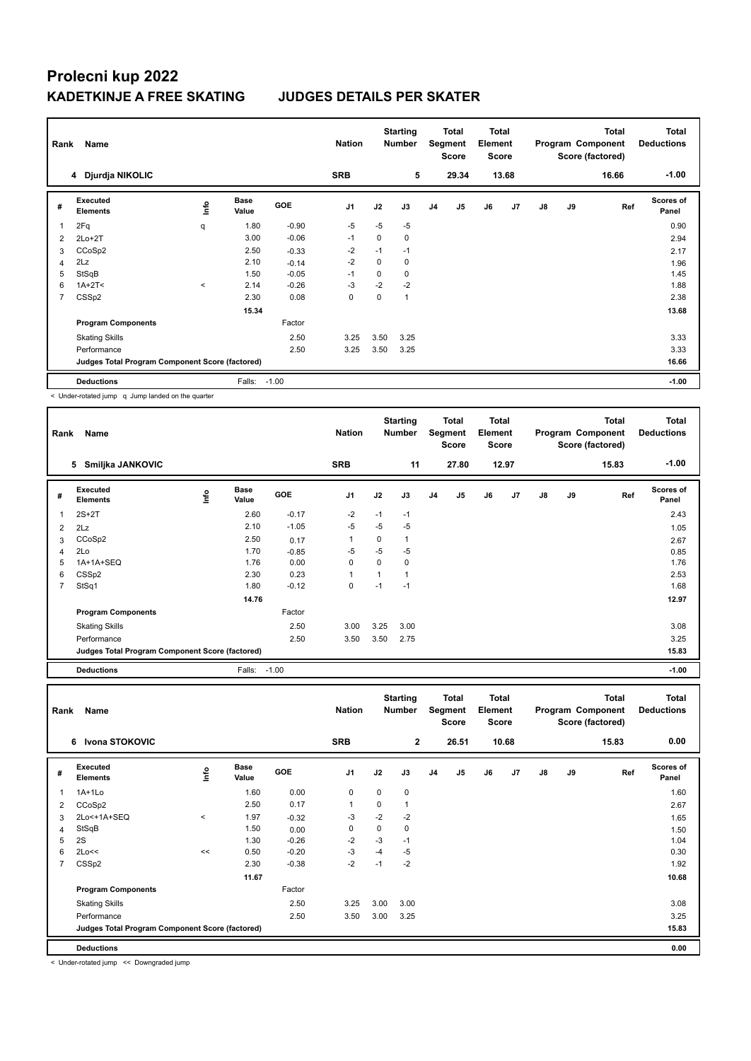| Rank           | Name                                            |         |                      |            | <b>Nation</b> |             | <b>Starting</b><br><b>Number</b> |                | <b>Total</b><br>Segment<br>Score | <b>Total</b><br>Element<br><b>Score</b> |       | <b>Total</b><br>Program Component<br>Score (factored) |    | <b>Total</b><br><b>Deductions</b> |                           |
|----------------|-------------------------------------------------|---------|----------------------|------------|---------------|-------------|----------------------------------|----------------|----------------------------------|-----------------------------------------|-------|-------------------------------------------------------|----|-----------------------------------|---------------------------|
|                | 4 Djurdja NIKOLIC                               |         |                      |            | <b>SRB</b>    |             | 5                                |                | 29.34                            |                                         | 13.68 |                                                       |    | 16.66                             | $-1.00$                   |
| #              | Executed<br><b>Elements</b>                     | Life    | <b>Base</b><br>Value | <b>GOE</b> | J1            | J2          | J3                               | J <sub>4</sub> | J <sub>5</sub>                   | J6                                      | J7    | $\mathsf{J}8$                                         | J9 | Ref                               | <b>Scores of</b><br>Panel |
|                | 2Fq                                             | q       | 1.80                 | $-0.90$    | $-5$          | $-5$        | $-5$                             |                |                                  |                                         |       |                                                       |    |                                   | 0.90                      |
| 2              | $2Lo+2T$                                        |         | 3.00                 | $-0.06$    | $-1$          | 0           | 0                                |                |                                  |                                         |       |                                                       |    |                                   | 2.94                      |
| 3              | CCoSp2                                          |         | 2.50                 | $-0.33$    | $-2$          | $-1$        | $-1$                             |                |                                  |                                         |       |                                                       |    |                                   | 2.17                      |
| $\overline{4}$ | 2Lz                                             |         | 2.10                 | $-0.14$    | $-2$          | $\mathbf 0$ | 0                                |                |                                  |                                         |       |                                                       |    |                                   | 1.96                      |
| 5              | StSqB                                           |         | 1.50                 | $-0.05$    | $-1$          | 0           | $\Omega$                         |                |                                  |                                         |       |                                                       |    |                                   | 1.45                      |
| 6              | $1A+2T2$                                        | $\prec$ | 2.14                 | $-0.26$    | -3            | $-2$        | $-2$                             |                |                                  |                                         |       |                                                       |    |                                   | 1.88                      |
| $\overline{7}$ | CSSp2                                           |         | 2.30                 | 0.08       | $\mathbf 0$   | $\mathbf 0$ | 1                                |                |                                  |                                         |       |                                                       |    |                                   | 2.38                      |
|                |                                                 |         | 15.34                |            |               |             |                                  |                |                                  |                                         |       |                                                       |    |                                   | 13.68                     |
|                | <b>Program Components</b>                       |         |                      | Factor     |               |             |                                  |                |                                  |                                         |       |                                                       |    |                                   |                           |
|                | <b>Skating Skills</b>                           |         |                      | 2.50       | 3.25          | 3.50        | 3.25                             |                |                                  |                                         |       |                                                       |    |                                   | 3.33                      |
|                | Performance                                     |         |                      | 2.50       | 3.25          | 3.50        | 3.25                             |                |                                  |                                         |       |                                                       |    |                                   | 3.33                      |
|                | Judges Total Program Component Score (factored) |         |                      |            |               |             |                                  |                |                                  |                                         |       |                                                       |    |                                   | 16.66                     |
|                | <b>Deductions</b>                               |         | Falls:               | $-1.00$    |               |             |                                  |                |                                  |                                         |       |                                                       |    |                                   | $-1.00$                   |
|                |                                                 |         |                      |            |               |             |                                  |                |                                  |                                         |       |                                                       |    |                                   |                           |

< Under-rotated jump q Jump landed on the quarter

| Rank | Name                                            |      |                      |            | <b>Nation</b> |      | <b>Starting</b><br><b>Number</b> |                | Total<br>Segment<br><b>Score</b> | Total<br>Element<br>Score |                | <b>Total</b><br>Program Component<br>Score (factored) |    |       | <b>Total</b><br><b>Deductions</b> |
|------|-------------------------------------------------|------|----------------------|------------|---------------|------|----------------------------------|----------------|----------------------------------|---------------------------|----------------|-------------------------------------------------------|----|-------|-----------------------------------|
|      | 5<br>Smiljka JANKOVIC                           |      |                      |            | <b>SRB</b>    |      | 11                               |                | 27.80                            |                           | 12.97          |                                                       |    | 15.83 | $-1.00$                           |
| #    | Executed<br><b>Elements</b>                     | ١mfo | <b>Base</b><br>Value | <b>GOE</b> | J1            | J2   | J3                               | J <sub>4</sub> | J <sub>5</sub>                   | J6                        | J <sub>7</sub> | J8                                                    | J9 | Ref   | Scores of<br>Panel                |
|      | $2S+2T$                                         |      | 2.60                 | $-0.17$    | $-2$          | $-1$ | $-1$                             |                |                                  |                           |                |                                                       |    |       | 2.43                              |
| 2    | 2Lz                                             |      | 2.10                 | $-1.05$    | $-5$          | $-5$ | $-5$                             |                |                                  |                           |                |                                                       |    |       | 1.05                              |
| 3    | CCoSp2                                          |      | 2.50                 | 0.17       | 1             | 0    |                                  |                |                                  |                           |                |                                                       |    |       | 2.67                              |
| 4    | 2Lo                                             |      | 1.70                 | $-0.85$    | $-5$          | $-5$ | $-5$                             |                |                                  |                           |                |                                                       |    |       | 0.85                              |
| 5    | 1A+1A+SEQ                                       |      | 1.76                 | 0.00       | 0             | 0    | 0                                |                |                                  |                           |                |                                                       |    |       | 1.76                              |
| 6    | CSSp2                                           |      | 2.30                 | 0.23       | 1             | 1    | 1                                |                |                                  |                           |                |                                                       |    |       | 2.53                              |
| 7    | StSq1                                           |      | 1.80                 | $-0.12$    | 0             | $-1$ | $-1$                             |                |                                  |                           |                |                                                       |    |       | 1.68                              |
|      |                                                 |      | 14.76                |            |               |      |                                  |                |                                  |                           |                |                                                       |    |       | 12.97                             |
|      | <b>Program Components</b>                       |      |                      | Factor     |               |      |                                  |                |                                  |                           |                |                                                       |    |       |                                   |
|      | <b>Skating Skills</b>                           |      |                      | 2.50       | 3.00          | 3.25 | 3.00                             |                |                                  |                           |                |                                                       |    |       | 3.08                              |
|      | Performance                                     |      |                      | 2.50       | 3.50          | 3.50 | 2.75                             |                |                                  |                           |                |                                                       |    |       | 3.25                              |
|      | Judges Total Program Component Score (factored) |      |                      |            |               |      |                                  |                |                                  |                           |                |                                                       |    |       | 15.83                             |
|      | <b>Deductions</b>                               |      | Falls: -1.00         |            |               |      |                                  |                |                                  |                           |                |                                                       |    |       | $-1.00$                           |

| Rank           | Name                                            |       |                      |            | <b>Nation</b>  |      | <b>Starting</b><br><b>Number</b> |                | Total<br>Segment<br><b>Score</b> | <b>Total</b><br>Element<br><b>Score</b> |       |               |    | <b>Total</b><br>Program Component<br>Score (factored) | <b>Total</b><br><b>Deductions</b> |
|----------------|-------------------------------------------------|-------|----------------------|------------|----------------|------|----------------------------------|----------------|----------------------------------|-----------------------------------------|-------|---------------|----|-------------------------------------------------------|-----------------------------------|
|                | Ivona STOKOVIC<br>6                             |       |                      |            | <b>SRB</b>     |      | $\overline{2}$                   |                | 26.51                            |                                         | 10.68 |               |    | 15.83                                                 | 0.00                              |
| #              | Executed<br><b>Elements</b>                     | lnfo  | <b>Base</b><br>Value | <b>GOE</b> | J <sub>1</sub> | J2   | J3                               | J <sub>4</sub> | J <sub>5</sub>                   | J6                                      | J7    | $\mathsf{J}8$ | J9 | Ref                                                   | <b>Scores of</b><br>Panel         |
|                | $1A+1Lo$                                        |       | 1.60                 | 0.00       | 0              | 0    | $\mathbf 0$                      |                |                                  |                                         |       |               |    |                                                       | 1.60                              |
| $\overline{2}$ | CCoSp2                                          |       | 2.50                 | 0.17       | 1              | 0    | 1                                |                |                                  |                                         |       |               |    |                                                       | 2.67                              |
| 3              | 2Lo<+1A+SEQ                                     | $\,<$ | 1.97                 | $-0.32$    | $-3$           | $-2$ | $-2$                             |                |                                  |                                         |       |               |    |                                                       | 1.65                              |
| 4              | StSqB                                           |       | 1.50                 | 0.00       | 0              | 0    | 0                                |                |                                  |                                         |       |               |    |                                                       | 1.50                              |
| 5              | 2S                                              |       | 1.30                 | $-0.26$    | $-2$           | $-3$ | $-1$                             |                |                                  |                                         |       |               |    |                                                       | 1.04                              |
| 6              | 2Lo<<                                           | <<    | 0.50                 | $-0.20$    | $-3$           | $-4$ | $-5$                             |                |                                  |                                         |       |               |    |                                                       | 0.30                              |
| 7              | CSS <sub>p2</sub>                               |       | 2.30                 | $-0.38$    | $-2$           | $-1$ | $-2$                             |                |                                  |                                         |       |               |    |                                                       | 1.92                              |
|                |                                                 |       | 11.67                |            |                |      |                                  |                |                                  |                                         |       |               |    |                                                       | 10.68                             |
|                | <b>Program Components</b>                       |       |                      | Factor     |                |      |                                  |                |                                  |                                         |       |               |    |                                                       |                                   |
|                | <b>Skating Skills</b>                           |       |                      | 2.50       | 3.25           | 3.00 | 3.00                             |                |                                  |                                         |       |               |    |                                                       | 3.08                              |
|                | Performance                                     |       |                      | 2.50       | 3.50           | 3.00 | 3.25                             |                |                                  |                                         |       |               |    |                                                       | 3.25                              |
|                | Judges Total Program Component Score (factored) |       |                      |            |                |      |                                  |                |                                  |                                         |       |               |    |                                                       | 15.83                             |
|                | <b>Deductions</b>                               |       |                      |            |                |      |                                  |                |                                  |                                         |       |               |    |                                                       | 0.00                              |

< Under-rotated jump << Downgraded jump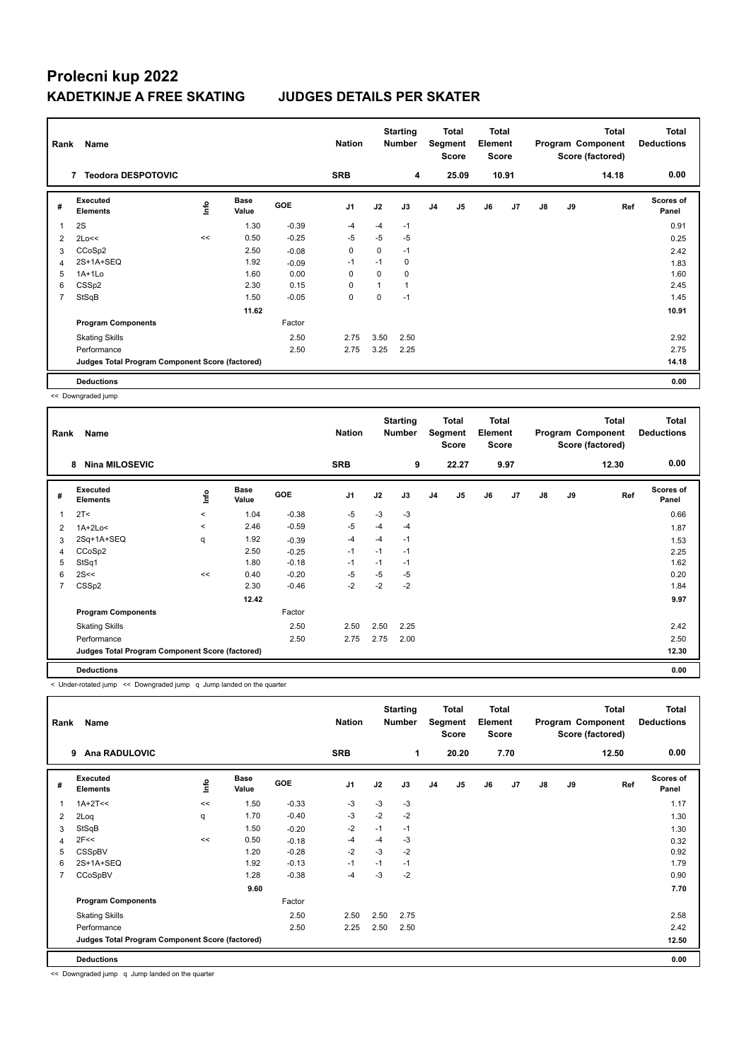| Rank           | Name                                            |             |                      |            | <b>Nation</b>  |          | <b>Starting</b><br><b>Number</b> |                | Total<br>Segment<br><b>Score</b> | <b>Total</b><br>Element<br><b>Score</b> |       |               |    | Total<br>Program Component<br>Score (factored) | <b>Total</b><br><b>Deductions</b> |
|----------------|-------------------------------------------------|-------------|----------------------|------------|----------------|----------|----------------------------------|----------------|----------------------------------|-----------------------------------------|-------|---------------|----|------------------------------------------------|-----------------------------------|
|                | <b>Teodora DESPOTOVIC</b><br>7                  |             |                      |            | <b>SRB</b>     |          | 4                                |                | 25.09                            |                                         | 10.91 |               |    | 14.18                                          | 0.00                              |
| #              | Executed<br><b>Elements</b>                     | <u>info</u> | <b>Base</b><br>Value | <b>GOE</b> | J <sub>1</sub> | J2       | J3                               | J <sub>4</sub> | J <sub>5</sub>                   | J6                                      | J7    | $\mathsf{J}8$ | J9 | Ref                                            | <b>Scores of</b><br>Panel         |
|                | 2S                                              |             | 1.30                 | $-0.39$    | $-4$           | $-4$     | $-1$                             |                |                                  |                                         |       |               |    |                                                | 0.91                              |
| 2              | 2Lo<<                                           | <<          | 0.50                 | $-0.25$    | -5             | $-5$     | $-5$                             |                |                                  |                                         |       |               |    |                                                | 0.25                              |
| 3              | CCoSp2                                          |             | 2.50                 | $-0.08$    | 0              | 0        | $-1$                             |                |                                  |                                         |       |               |    |                                                | 2.42                              |
| 4              | 2S+1A+SEQ                                       |             | 1.92                 | $-0.09$    | $-1$           | $-1$     | 0                                |                |                                  |                                         |       |               |    |                                                | 1.83                              |
| 5              | $1A+1Lo$                                        |             | 1.60                 | 0.00       | 0              | $\Omega$ | 0                                |                |                                  |                                         |       |               |    |                                                | 1.60                              |
| 6              | CSSp2                                           |             | 2.30                 | 0.15       | $\mathbf 0$    | 1        | 1                                |                |                                  |                                         |       |               |    |                                                | 2.45                              |
| $\overline{7}$ | StSqB                                           |             | 1.50                 | $-0.05$    | 0              | 0        | $-1$                             |                |                                  |                                         |       |               |    |                                                | 1.45                              |
|                |                                                 |             | 11.62                |            |                |          |                                  |                |                                  |                                         |       |               |    |                                                | 10.91                             |
|                | <b>Program Components</b>                       |             |                      | Factor     |                |          |                                  |                |                                  |                                         |       |               |    |                                                |                                   |
|                | <b>Skating Skills</b>                           |             |                      | 2.50       | 2.75           | 3.50     | 2.50                             |                |                                  |                                         |       |               |    |                                                | 2.92                              |
|                | Performance                                     |             |                      | 2.50       | 2.75           | 3.25     | 2.25                             |                |                                  |                                         |       |               |    |                                                | 2.75                              |
|                | Judges Total Program Component Score (factored) |             |                      |            |                |          |                                  |                |                                  |                                         |       |               |    |                                                | 14.18                             |
|                | <b>Deductions</b>                               |             |                      |            |                |          |                                  |                |                                  |                                         |       |               |    |                                                | 0.00                              |

<< Downgraded jump

| Rank | Name                                            |          |                      |            | <b>Nation</b>  |      | <b>Starting</b><br><b>Number</b> |                | <b>Total</b><br>Segment<br><b>Score</b> | <b>Total</b><br>Element<br><b>Score</b> |                |               |    | <b>Total</b><br>Program Component<br>Score (factored) | Total<br><b>Deductions</b> |
|------|-------------------------------------------------|----------|----------------------|------------|----------------|------|----------------------------------|----------------|-----------------------------------------|-----------------------------------------|----------------|---------------|----|-------------------------------------------------------|----------------------------|
|      | <b>Nina MILOSEVIC</b><br>8                      |          |                      |            | <b>SRB</b>     |      | 9                                |                | 22.27                                   |                                         | 9.97           |               |    | 12.30                                                 | 0.00                       |
| #    | Executed<br><b>Elements</b>                     | lnfo     | <b>Base</b><br>Value | <b>GOE</b> | J <sub>1</sub> | J2   | J3                               | J <sub>4</sub> | J5                                      | J6                                      | J <sub>7</sub> | $\mathsf{J}8$ | J9 | Ref                                                   | <b>Scores of</b><br>Panel  |
| 1    | 2T <                                            | $\hat{}$ | 1.04                 | $-0.38$    | $-5$           | $-3$ | $-3$                             |                |                                         |                                         |                |               |    |                                                       | 0.66                       |
| 2    | $1A+2Lo<$                                       | $\prec$  | 2.46                 | $-0.59$    | $-5$           | $-4$ | $-4$                             |                |                                         |                                         |                |               |    |                                                       | 1.87                       |
| 3    | 2Sq+1A+SEQ                                      | q        | 1.92                 | $-0.39$    | $-4$           | $-4$ | $-1$                             |                |                                         |                                         |                |               |    |                                                       | 1.53                       |
| 4    | CCoSp2                                          |          | 2.50                 | $-0.25$    | $-1$           | $-1$ | $-1$                             |                |                                         |                                         |                |               |    |                                                       | 2.25                       |
| 5    | StSq1                                           |          | 1.80                 | $-0.18$    | $-1$           | $-1$ | $-1$                             |                |                                         |                                         |                |               |    |                                                       | 1.62                       |
| 6    | 2S<<                                            | <<       | 0.40                 | $-0.20$    | $-5$           | $-5$ | $-5$                             |                |                                         |                                         |                |               |    |                                                       | 0.20                       |
|      | CSSp2                                           |          | 2.30                 | $-0.46$    | $-2$           | $-2$ | $-2$                             |                |                                         |                                         |                |               |    |                                                       | 1.84                       |
|      |                                                 |          | 12.42                |            |                |      |                                  |                |                                         |                                         |                |               |    |                                                       | 9.97                       |
|      | <b>Program Components</b>                       |          |                      | Factor     |                |      |                                  |                |                                         |                                         |                |               |    |                                                       |                            |
|      | <b>Skating Skills</b>                           |          |                      | 2.50       | 2.50           | 2.50 | 2.25                             |                |                                         |                                         |                |               |    |                                                       | 2.42                       |
|      | Performance                                     |          |                      | 2.50       | 2.75           | 2.75 | 2.00                             |                |                                         |                                         |                |               |    |                                                       | 2.50                       |
|      | Judges Total Program Component Score (factored) |          |                      |            |                |      |                                  |                |                                         |                                         |                |               |    |                                                       | 12.30                      |
|      | <b>Deductions</b>                               |          |                      |            |                |      |                                  |                |                                         |                                         |                |               |    |                                                       | 0.00                       |

< Under-rotated jump << Downgraded jump q Jump landed on the quarter

| Rank           | Name                                            |             |                      |            | <b>Nation</b>  |      | <b>Starting</b><br><b>Number</b> |                | Total<br>Segment<br><b>Score</b> | <b>Total</b><br>Element<br><b>Score</b> |      |               |    | <b>Total</b><br>Program Component<br>Score (factored) | <b>Total</b><br><b>Deductions</b> |
|----------------|-------------------------------------------------|-------------|----------------------|------------|----------------|------|----------------------------------|----------------|----------------------------------|-----------------------------------------|------|---------------|----|-------------------------------------------------------|-----------------------------------|
|                | <b>Ana RADULOVIC</b><br>9                       |             |                      |            | <b>SRB</b>     |      | 1                                |                | 20.20                            |                                         | 7.70 |               |    | 12.50                                                 | 0.00                              |
| #              | Executed<br><b>Elements</b>                     | <u>lnfo</u> | <b>Base</b><br>Value | <b>GOE</b> | J <sub>1</sub> | J2   | J3                               | J <sub>4</sub> | J5                               | J6                                      | J7   | $\mathsf{J}8$ | J9 | Ref                                                   | Scores of<br>Panel                |
| 1              | $1A+2T<<$                                       | <<          | 1.50                 | $-0.33$    | $-3$           | $-3$ | $-3$                             |                |                                  |                                         |      |               |    |                                                       | 1.17                              |
| 2              | 2Loq                                            | q           | 1.70                 | $-0.40$    | $-3$           | $-2$ | $-2$                             |                |                                  |                                         |      |               |    |                                                       | 1.30                              |
| 3              | StSqB                                           |             | 1.50                 | $-0.20$    | $-2$           | $-1$ | $-1$                             |                |                                  |                                         |      |               |    |                                                       | 1.30                              |
| $\overline{4}$ | 2F<<                                            | <<          | 0.50                 | $-0.18$    | $-4$           | $-4$ | $-3$                             |                |                                  |                                         |      |               |    |                                                       | 0.32                              |
| 5              | CSSpBV                                          |             | 1.20                 | $-0.28$    | $-2$           | $-3$ | $-2$                             |                |                                  |                                         |      |               |    |                                                       | 0.92                              |
| 6              | 2S+1A+SEQ                                       |             | 1.92                 | $-0.13$    | $-1$           | $-1$ | $-1$                             |                |                                  |                                         |      |               |    |                                                       | 1.79                              |
| 7              | CCoSpBV                                         |             | 1.28                 | $-0.38$    | $-4$           | $-3$ | $-2$                             |                |                                  |                                         |      |               |    |                                                       | 0.90                              |
|                |                                                 |             | 9.60                 |            |                |      |                                  |                |                                  |                                         |      |               |    |                                                       | 7.70                              |
|                | <b>Program Components</b>                       |             |                      | Factor     |                |      |                                  |                |                                  |                                         |      |               |    |                                                       |                                   |
|                | <b>Skating Skills</b>                           |             |                      | 2.50       | 2.50           | 2.50 | 2.75                             |                |                                  |                                         |      |               |    |                                                       | 2.58                              |
|                | Performance                                     |             |                      | 2.50       | 2.25           | 2.50 | 2.50                             |                |                                  |                                         |      |               |    |                                                       | 2.42                              |
|                | Judges Total Program Component Score (factored) |             |                      |            |                |      |                                  |                |                                  |                                         |      |               |    |                                                       | 12.50                             |
|                | <b>Deductions</b>                               |             |                      |            |                |      |                                  |                |                                  |                                         |      |               |    |                                                       | 0.00                              |

<< Downgraded jump q Jump landed on the quarter